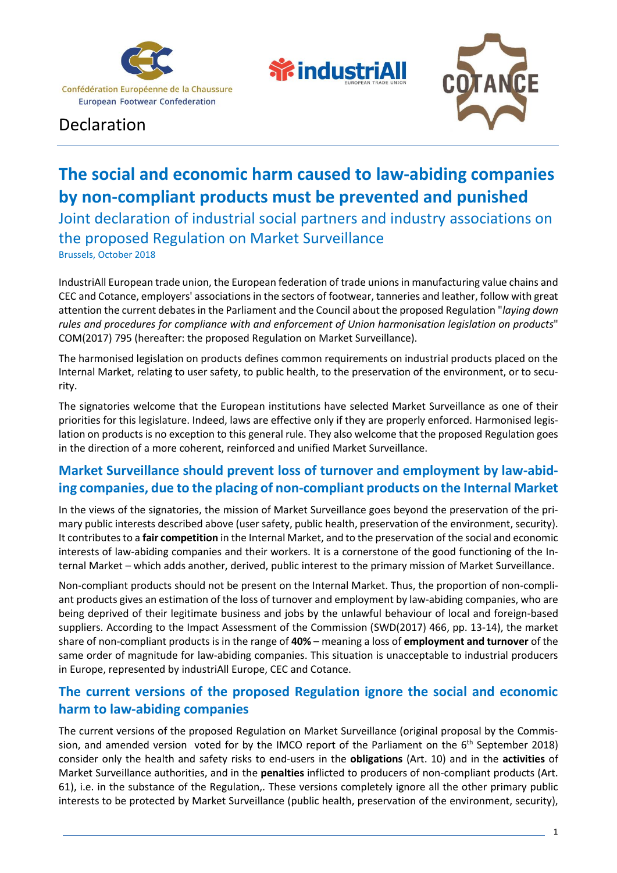

**WindustriAll** 



# Declaration

# **The social and economic harm caused to law-abiding companies by non-compliant products must be prevented and punished**

Joint declaration of industrial social partners and industry associations on the proposed Regulation on Market Surveillance Brussels, October 2018

IndustriAll European trade union, the European federation of trade unions in manufacturing value chains and CEC and Cotance, employers' associations in the sectors of footwear, tanneries and leather, follow with great attention the current debates in the Parliament and the Council about the proposed Regulation "*laying down rules and procedures for compliance with and enforcement of Union harmonisation legislation on products*" COM(2017) 795 (hereafter: the proposed Regulation on Market Surveillance).

The harmonised legislation on products defines common requirements on industrial products placed on the Internal Market, relating to user safety, to public health, to the preservation of the environment, or to security.

The signatories welcome that the European institutions have selected Market Surveillance as one of their priorities for this legislature. Indeed, laws are effective only if they are properly enforced. Harmonised legislation on products is no exception to this general rule. They also welcome that the proposed Regulation goes in the direction of a more coherent, reinforced and unified Market Surveillance.

### **Market Surveillance should prevent loss of turnover and employment by law-abiding companies, due to the placing of non-compliant products on the Internal Market**

In the views of the signatories, the mission of Market Surveillance goes beyond the preservation of the primary public interests described above (user safety, public health, preservation of the environment, security). It contributes to a **fair competition** in the Internal Market, and to the preservation of the social and economic interests of law-abiding companies and their workers. It is a cornerstone of the good functioning of the Internal Market – which adds another, derived, public interest to the primary mission of Market Surveillance.

Non-compliant products should not be present on the Internal Market. Thus, the proportion of non-compliant products gives an estimation of the loss of turnover and employment by law-abiding companies, who are being deprived of their legitimate business and jobs by the unlawful behaviour of local and foreign-based suppliers. According to the Impact Assessment of the Commission (SWD(2017) 466, pp. 13-14), the market share of non-compliant products is in the range of **40%** – meaning a loss of **employment and turnover** of the same order of magnitude for law-abiding companies. This situation is unacceptable to industrial producers in Europe, represented by industriAll Europe, CEC and Cotance.

### **The current versions of the proposed Regulation ignore the social and economic harm to law-abiding companies**

The current versions of the proposed Regulation on Market Surveillance (original proposal by the Commission, and amended version voted for by the IMCO report of the Parliament on the 6<sup>th</sup> September 2018) consider only the health and safety risks to end-users in the **obligations** (Art. 10) and in the **activities** of Market Surveillance authorities, and in the **penalties** inflicted to producers of non-compliant products (Art. 61), i.e. in the substance of the Regulation,. These versions completely ignore all the other primary public interests to be protected by Market Surveillance (public health, preservation of the environment, security),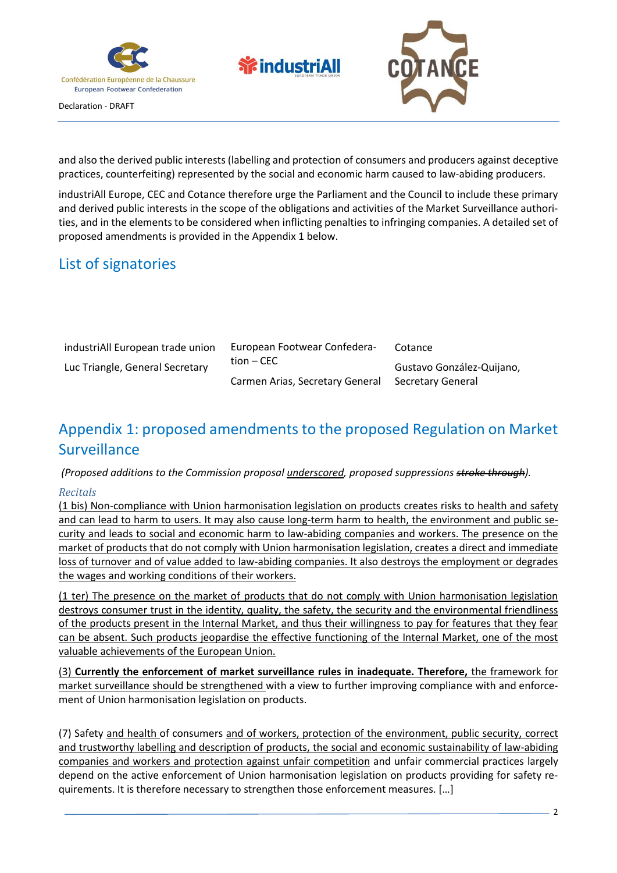

Declaration - DRAFT



and also the derived public interests (labelling and protection of consumers and producers against deceptive practices, counterfeiting) represented by the social and economic harm caused to law-abiding producers.

**SindustriAll** 

industriAll Europe, CEC and Cotance therefore urge the Parliament and the Council to include these primary and derived public interests in the scope of the obligations and activities of the Market Surveillance authorities, and in the elements to be considered when inflicting penalties to infringing companies. A detailed set of proposed amendments is provided in the Appendix 1 below.

# List of signatories

| industriAll European trade union | European Footwear Confedera-                      | Cotance                   |
|----------------------------------|---------------------------------------------------|---------------------------|
| Luc Triangle, General Secretary  | tion – CEC                                        | Gustavo González-Quijano, |
|                                  | Carmen Arias, Secretary General Secretary General |                           |

# Appendix 1: proposed amendments to the proposed Regulation on Market Surveillance

*(Proposed additions to the Commission proposal underscored, proposed suppressions stroke through).*

#### *Recitals*

(1 bis) Non-compliance with Union harmonisation legislation on products creates risks to health and safety and can lead to harm to users. It may also cause long-term harm to health, the environment and public security and leads to social and economic harm to law-abiding companies and workers. The presence on the market of products that do not comply with Union harmonisation legislation, creates a direct and immediate loss of turnover and of value added to law-abiding companies. It also destroys the employment or degrades the wages and working conditions of their workers.

(1 ter) The presence on the market of products that do not comply with Union harmonisation legislation destroys consumer trust in the identity, quality, the safety, the security and the environmental friendliness of the products present in the Internal Market, and thus their willingness to pay for features that they fear can be absent. Such products jeopardise the effective functioning of the Internal Market, one of the most valuable achievements of the European Union.

(3) **Currently the enforcement of market surveillance rules in inadequate. Therefore,** the framework for market surveillance should be strengthened with a view to further improving compliance with and enforcement of Union harmonisation legislation on products.

(7) Safety and health of consumers and of workers, protection of the environment, public security, correct and trustworthy labelling and description of products, the social and economic sustainability of law-abiding companies and workers and protection against unfair competition and unfair commercial practices largely depend on the active enforcement of Union harmonisation legislation on products providing for safety requirements. It is therefore necessary to strengthen those enforcement measures. […]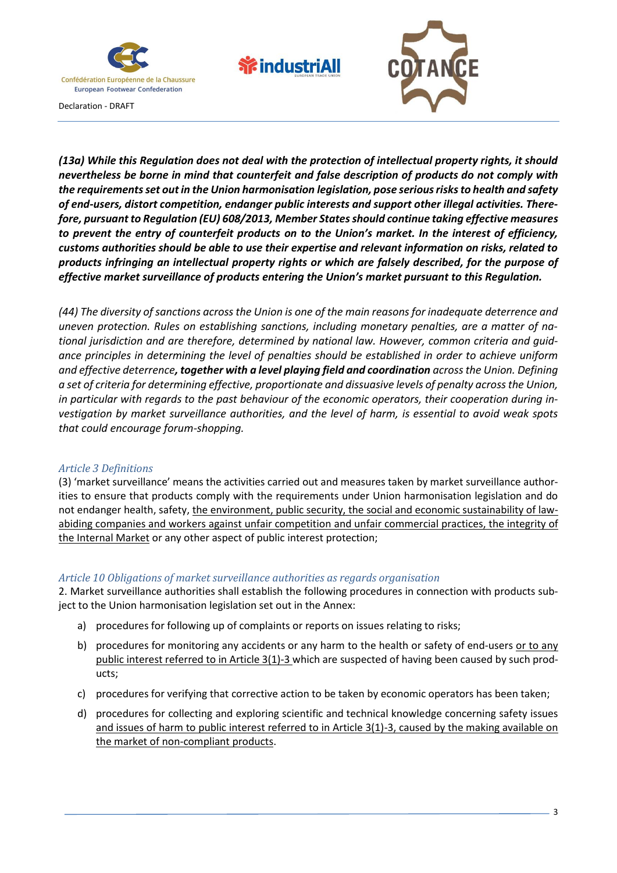

Declaration - DRAFT



*(13a) While this Regulation does not deal with the protection of intellectual property rights, it should nevertheless be borne in mind that counterfeit and false description of products do not comply with the requirements set out in the Union harmonisation legislation, pose serious risks to health and safety of end-users, distort competition, endanger public interests and support other illegal activities. Therefore, pursuant to Regulation (EU) 608/2013, Member States should continue taking effective measures to prevent the entry of counterfeit products on to the Union's market. In the interest of efficiency, customs authorities should be able to use their expertise and relevant information on risks, related to products infringing an intellectual property rights or which are falsely described, for the purpose of effective market surveillance of products entering the Union's market pursuant to this Regulation.* 

**industriAll** 

*(44) The diversity of sanctions across the Union is one of the main reasons for inadequate deterrence and uneven protection. Rules on establishing sanctions, including monetary penalties, are a matter of national jurisdiction and are therefore, determined by national law. However, common criteria and guidance principles in determining the level of penalties should be established in order to achieve uniform and effective deterrence, together with a level playing field and coordination across the Union. Defining a set of criteria for determining effective, proportionate and dissuasive levels of penalty across the Union, in particular with regards to the past behaviour of the economic operators, their cooperation during investigation by market surveillance authorities, and the level of harm, is essential to avoid weak spots that could encourage forum-shopping.*

#### *Article 3 Definitions*

(3) 'market surveillance' means the activities carried out and measures taken by market surveillance authorities to ensure that products comply with the requirements under Union harmonisation legislation and do not endanger health, safety, the environment, public security, the social and economic sustainability of lawabiding companies and workers against unfair competition and unfair commercial practices, the integrity of the Internal Market or any other aspect of public interest protection;

#### *Article 10 Obligations of market surveillance authorities as regards organisation*

2. Market surveillance authorities shall establish the following procedures in connection with products subject to the Union harmonisation legislation set out in the Annex:

- a) procedures for following up of complaints or reports on issues relating to risks;
- b) procedures for monitoring any accidents or any harm to the health or safety of end-users or to any public interest referred to in Article 3(1)-3 which are suspected of having been caused by such products;
- c) procedures for verifying that corrective action to be taken by economic operators has been taken;
- d) procedures for collecting and exploring scientific and technical knowledge concerning safety issues and issues of harm to public interest referred to in Article 3(1)-3, caused by the making available on the market of non-compliant products.